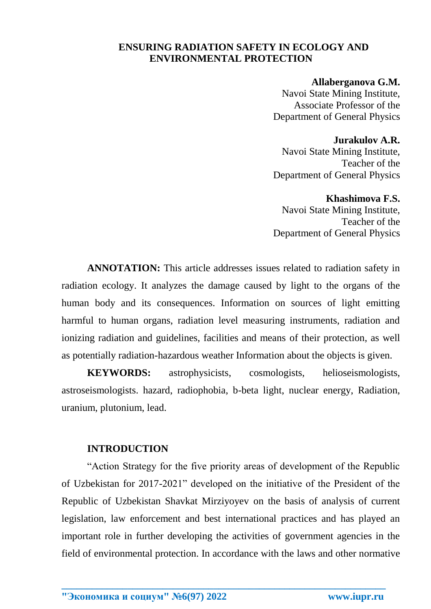## **ENSURING RADIATION SAFETY IN ECOLOGY AND ENVIRONMENTAL PROTECTION**

#### **Allaberganova G.M.**

Navoi State Mining Institute, Associate Professor of the Department of General Physics

### **Jurakulov A.R.**

Navoi State Mining Institute, Teacher of the Department of General Physics

#### **Khashimova F.S.**

Navoi State Mining Institute, Teacher of the Department of General Physics

**ANNOTATION:** This article addresses issues related to radiation safety in radiation ecology. It analyzes the damage caused by light to the organs of the human body and its consequences. Information on sources of light emitting harmful to human organs, radiation level measuring instruments, radiation and ionizing radiation and guidelines, facilities and means of their protection, as well as potentially radiation-hazardous weather Information about the objects is given.

**KEYWORDS:** astrophysicists, cosmologists, helioseismologists, astroseismologists. hazard, radiophobia, b-beta light, nuclear energy, Radiation, uranium, plutonium, lead.

## **INTRODUCTION**

"Action Strategy for the five priority areas of development of the Republic of Uzbekistan for 2017-2021" developed on the initiative of the President of the Republic of Uzbekistan Shavkat Mirziyoyev on the basis of analysis of current legislation, law enforcement and best international practices and has played an important role in further developing the activities of government agencies in the field of environmental protection. In accordance with the laws and other normative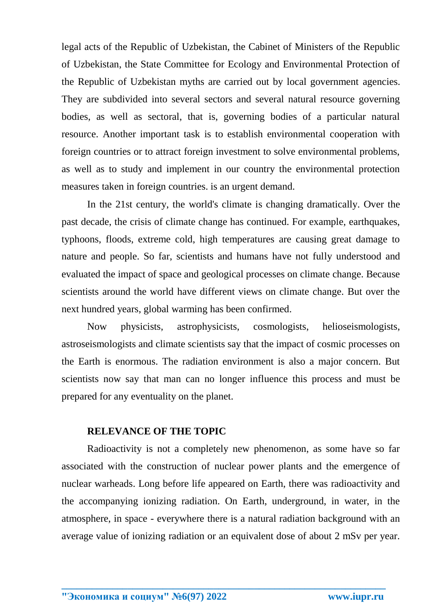legal acts of the Republic of Uzbekistan, the Cabinet of Ministers of the Republic of Uzbekistan, the State Committee for Ecology and Environmental Protection of the Republic of Uzbekistan myths are carried out by local government agencies. They are subdivided into several sectors and several natural resource governing bodies, as well as sectoral, that is, governing bodies of a particular natural resource. Another important task is to establish environmental cooperation with foreign countries or to attract foreign investment to solve environmental problems, as well as to study and implement in our country the environmental protection measures taken in foreign countries. is an urgent demand.

In the 21st century, the world's climate is changing dramatically. Over the past decade, the crisis of climate change has continued. For example, earthquakes, typhoons, floods, extreme cold, high temperatures are causing great damage to nature and people. So far, scientists and humans have not fully understood and evaluated the impact of space and geological processes on climate change. Because scientists around the world have different views on climate change. But over the next hundred years, global warming has been confirmed.

Now physicists, astrophysicists, cosmologists, helioseismologists, astroseismologists and climate scientists say that the impact of cosmic processes on the Earth is enormous. The radiation environment is also a major concern. But scientists now say that man can no longer influence this process and must be prepared for any eventuality on the planet.

### **RELEVANCE OF THE TOPIC**

Radioactivity is not a completely new phenomenon, as some have so far associated with the construction of nuclear power plants and the emergence of nuclear warheads. Long before life appeared on Earth, there was radioactivity and the accompanying ionizing radiation. On Earth, underground, in water, in the atmosphere, in space - everywhere there is a natural radiation background with an average value of ionizing radiation or an equivalent dose of about 2 mSv per year.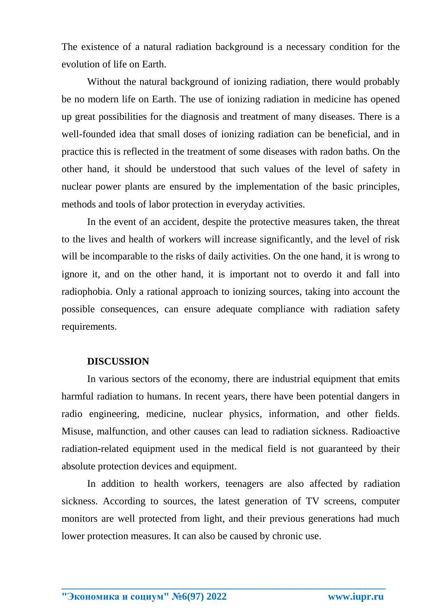The existence of a natural radiation background is a necessary condition for the evolution of life on Earth.

Without the natural background of ionizing radiation, there would probably be no modern life on Earth. The use of ionizing radiation in medicine has opened up great possibilities for the diagnosis and treatment of many diseases. There is a well-founded idea that small doses of ionizing radiation can be beneficial, and in practice this is reflected in the treatment of some diseases with radon baths. On the other hand, it should be understood that such values of the level of safety in nuclear power plants are ensured by the implementation of the basic principles, methods and tools of labor protection in everyday activities.

In the event of an accident, despite the protective measures taken, the threat to the lives and health of workers will increase significantly, and the level of risk will be incomparable to the risks of daily activities. On the one hand, it is wrong to ignore it, and on the other hand, it is important not to overdo it and fall into radiophobia. Only a rational approach to ionizing sources, taking into account the possible consequences, can ensure adequate compliance with radiation safety requirements.

### **DISCUSSION**

In various sectors of the economy, there are industrial equipment that emits harmful radiation to humans. In recent years, there have been potential dangers in radio engineering, medicine, nuclear physics, information, and other fields. Misuse, malfunction, and other causes can lead to radiation sickness. Radioactive radiation-related equipment used in the medical field is not guaranteed by their absolute protection devices and equipment.

In addition to health workers, teenagers are also affected by radiation sickness. According to sources, the latest generation of TV screens, computer monitors are well protected from light, and their previous generations had much lower protection measures. It can also be caused by chronic use.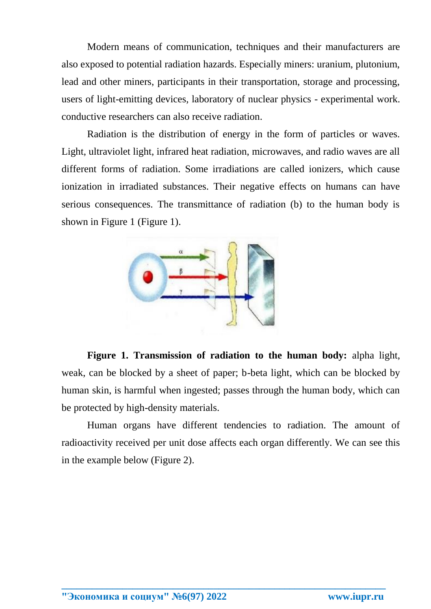Modern means of communication, techniques and their manufacturers are also exposed to potential radiation hazards. Especially miners: uranium, plutonium, lead and other miners, participants in their transportation, storage and processing, users of light-emitting devices, laboratory of nuclear physics - experimental work. conductive researchers can also receive radiation.

Radiation is the distribution of energy in the form of particles or waves. Light, ultraviolet light, infrared heat radiation, microwaves, and radio waves are all different forms of radiation. Some irradiations are called ionizers, which cause ionization in irradiated substances. Their negative effects on humans can have serious consequences. The transmittance of radiation (b) to the human body is shown in Figure 1 (Figure 1).



**Figure 1. Transmission of radiation to the human body:** alpha light, weak, can be blocked by a sheet of paper; b-beta light, which can be blocked by human skin, is harmful when ingested; passes through the human body, which can be protected by high-density materials.

Human organs have different tendencies to radiation. The amount of radioactivity received per unit dose affects each organ differently. We can see this in the example below (Figure 2).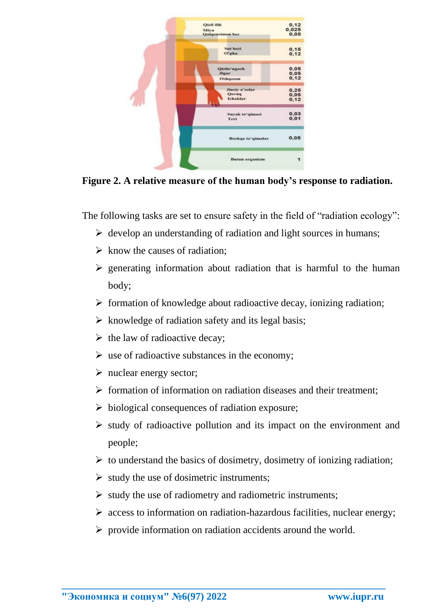

**Figure 2. A relative measure of the human body's response to radiation.**

The following tasks are set to ensure safety in the field of "radiation ecology":

- $\triangleright$  develop an understanding of radiation and light sources in humans;
- $\triangleright$  know the causes of radiation;
- $\triangleright$  generating information about radiation that is harmful to the human body;
- $\triangleright$  formation of knowledge about radioactive decay, ionizing radiation;
- $\triangleright$  knowledge of radiation safety and its legal basis;
- $\triangleright$  the law of radioactive decay;
- $\triangleright$  use of radioactive substances in the economy;
- $\triangleright$  nuclear energy sector;
- $\triangleright$  formation of information on radiation diseases and their treatment;
- $\triangleright$  biological consequences of radiation exposure;
- $\triangleright$  study of radioactive pollution and its impact on the environment and people;
- $\triangleright$  to understand the basics of dosimetry, dosimetry of ionizing radiation;
- $\triangleright$  study the use of dosimetric instruments;
- $\triangleright$  study the use of radiometry and radiometric instruments;
- $\triangleright$  access to information on radiation-hazardous facilities, nuclear energy;
- $\triangleright$  provide information on radiation accidents around the world.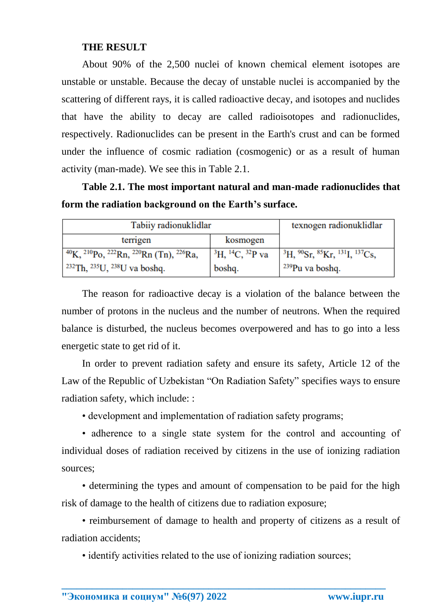## **THE RESULT**

About 90% of the 2,500 nuclei of known chemical element isotopes are unstable or unstable. Because the decay of unstable nuclei is accompanied by the scattering of different rays, it is called radioactive decay, and isotopes and nuclides that have the ability to decay are called radioisotopes and radionuclides, respectively. Radionuclides can be present in the Earth's crust and can be formed under the influence of cosmic radiation (cosmogenic) or as a result of human activity (man-made). We see this in Table 2.1.

**Table 2.1. The most important natural and man-made radionuclides that form the radiation background on the Earth's surface.**

| Tabiiy radionuklidlar                                                                |                                  | texnogen radionuklidlar                                 |
|--------------------------------------------------------------------------------------|----------------------------------|---------------------------------------------------------|
| terrigen                                                                             | kosmogen                         |                                                         |
| $^{40}$ K, $^{210}$ Po, $^{222}$ Rn, $^{220}$ Rn (Tn), $^{226}$ Ra,                  | ${}^{3}H, {}^{14}C, {}^{32}P$ va | ${}^{3}H, {}^{90}Sr, {}^{85}Kr, {}^{131}I, {}^{137}Cs,$ |
| $\frac{232 \text{Th}}{235 \text{U}}$ , $\frac{238 \text{U}}{238 \text{U}}$ va boshq. | boshq.                           | <sup>239</sup> Pu va boshq.                             |

The reason for radioactive decay is a violation of the balance between the number of protons in the nucleus and the number of neutrons. When the required balance is disturbed, the nucleus becomes overpowered and has to go into a less energetic state to get rid of it.

In order to prevent radiation safety and ensure its safety, Article 12 of the Law of the Republic of Uzbekistan "On Radiation Safety" specifies ways to ensure radiation safety, which include: :

• development and implementation of radiation safety programs;

• adherence to a single state system for the control and accounting of individual doses of radiation received by citizens in the use of ionizing radiation sources;

• determining the types and amount of compensation to be paid for the high risk of damage to the health of citizens due to radiation exposure;

• reimbursement of damage to health and property of citizens as a result of radiation accidents;

• identify activities related to the use of ionizing radiation sources;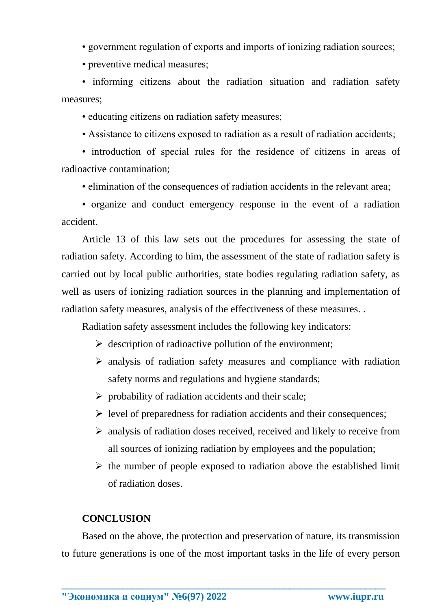• government regulation of exports and imports of ionizing radiation sources;

• preventive medical measures;

• informing citizens about the radiation situation and radiation safety measures;

• educating citizens on radiation safety measures;

• Assistance to citizens exposed to radiation as a result of radiation accidents;

• introduction of special rules for the residence of citizens in areas of radioactive contamination;

• elimination of the consequences of radiation accidents in the relevant area;

• organize and conduct emergency response in the event of a radiation accident.

Article 13 of this law sets out the procedures for assessing the state of radiation safety. According to him, the assessment of the state of radiation safety is carried out by local public authorities, state bodies regulating radiation safety, as well as users of ionizing radiation sources in the planning and implementation of radiation safety measures, analysis of the effectiveness of these measures. .

Radiation safety assessment includes the following key indicators:

- $\triangleright$  description of radioactive pollution of the environment;
- $\triangleright$  analysis of radiation safety measures and compliance with radiation safety norms and regulations and hygiene standards;
- $\triangleright$  probability of radiation accidents and their scale;
- $\triangleright$  level of preparedness for radiation accidents and their consequences;
- $\triangleright$  analysis of radiation doses received, received and likely to receive from all sources of ionizing radiation by employees and the population;
- $\triangleright$  the number of people exposed to radiation above the established limit of radiation doses.

# **CONCLUSION**

Based on the above, the protection and preservation of nature, its transmission to future generations is one of the most important tasks in the life of every person